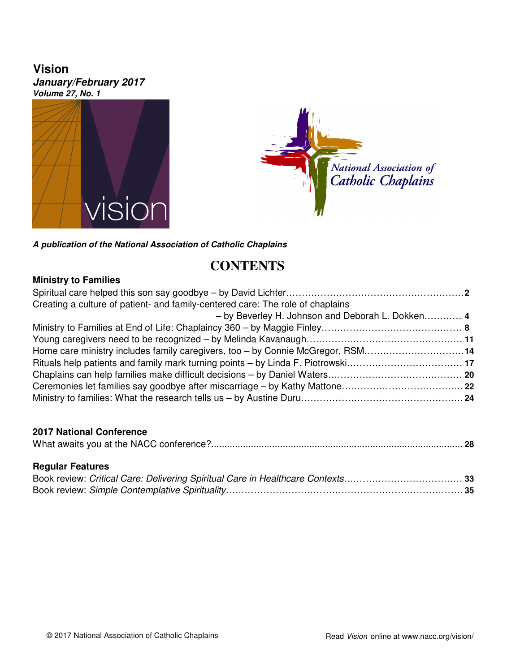#### **Vision Volume 27, No. 1 January/February 2017**





#### **A publication of the National Association of Catholic Chaplains**

# **CONTENTS**

#### **Ministry to Families**

| Creating a culture of patient- and family-centered care: The role of chaplains |  |
|--------------------------------------------------------------------------------|--|
| - by Beverley H. Johnson and Deborah L. Dokken4                                |  |
|                                                                                |  |
|                                                                                |  |
| Home care ministry includes family caregivers, too – by Connie McGregor, RSM14 |  |
|                                                                                |  |
|                                                                                |  |
|                                                                                |  |
|                                                                                |  |

#### **2017 National Conference**

|--|--|

#### **Regular Features**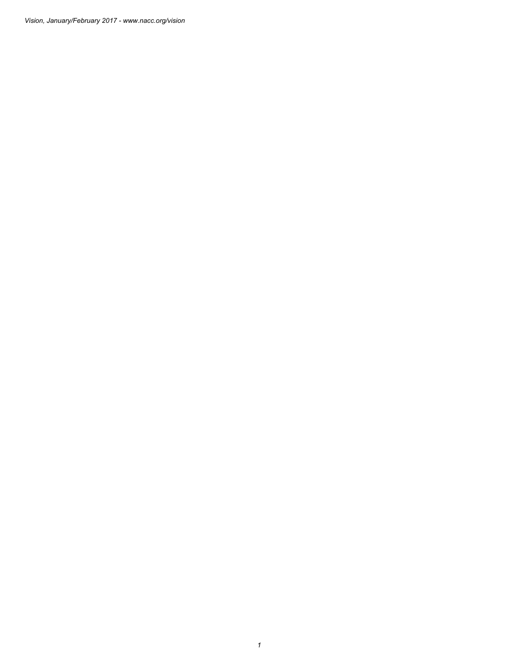*Vision, January/February 2017 - www.nacc.org/vision*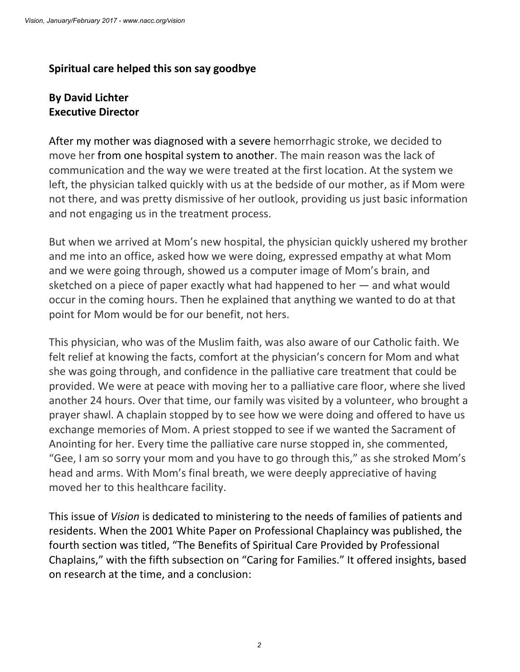# Spiritual care helped this son say goodbye

# By David Lichter Executive Director

After my mother was diagnosed with a severe hemorrhagic stroke, we decided to move her from one hospital system to another. The main reason was the lack of communication and the way we were treated at the first location. At the system we left, the physician talked quickly with us at the bedside of our mother, as if Mom were not there, and was pretty dismissive of her outlook, providing us just basic information and not engaging us in the treatment process.

But when we arrived at Mom's new hospital, the physician quickly ushered my brother and me into an office, asked how we were doing, expressed empathy at what Mom and we were going through, showed us a computer image of Mom's brain, and sketched on a piece of paper exactly what had happened to her — and what would occur in the coming hours. Then he explained that anything we wanted to do at that point for Mom would be for our benefit, not hers.

This physician, who was of the Muslim faith, was also aware of our Catholic faith. We felt relief at knowing the facts, comfort at the physician's concern for Mom and what she was going through, and confidence in the palliative care treatment that could be provided. We were at peace with moving her to a palliative care floor, where she lived another 24 hours. Over that time, our family was visited by a volunteer, who brought a prayer shawl. A chaplain stopped by to see how we were doing and offered to have us exchange memories of Mom. A priest stopped to see if we wanted the Sacrament of Anointing for her. Every time the palliative care nurse stopped in, she commented, "Gee, I am so sorry your mom and you have to go through this," as she stroked Mom's head and arms. With Mom's final breath, we were deeply appreciative of having moved her to this healthcare facility.

This issue of Vision is dedicated to ministering to the needs of families of patients and residents. When the 2001 White Paper on Professional Chaplaincy was published, the fourth section was titled, "The Benefits of Spiritual Care Provided by Professional Chaplains," with the fifth subsection on "Caring for Families." It offered insights, based on research at the time, and a conclusion: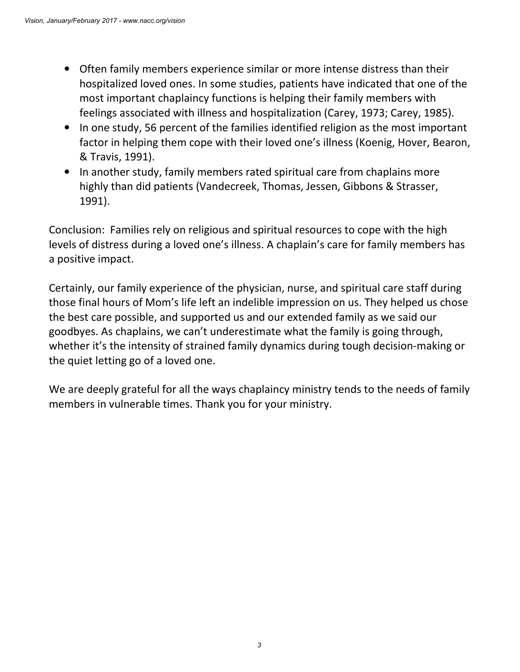- Often family members experience similar or more intense distress than their hospitalized loved ones. In some studies, patients have indicated that one of the most important chaplaincy functions is helping their family members with feelings associated with illness and hospitalization (Carey, 1973; Carey, 1985).
- In one study, 56 percent of the families identified religion as the most important factor in helping them cope with their loved one's illness (Koenig, Hover, Bearon, & Travis, 1991).
- In another study, family members rated spiritual care from chaplains more highly than did patients (Vandecreek, Thomas, Jessen, Gibbons & Strasser, 1991).

Conclusion: Families rely on religious and spiritual resources to cope with the high levels of distress during a loved one's illness. A chaplain's care for family members has a positive impact.

Certainly, our family experience of the physician, nurse, and spiritual care staff during those final hours of Mom's life left an indelible impression on us. They helped us chose the best care possible, and supported us and our extended family as we said our goodbyes. As chaplains, we can't underestimate what the family is going through, whether it's the intensity of strained family dynamics during tough decision-making or the quiet letting go of a loved one.

We are deeply grateful for all the ways chaplaincy ministry tends to the needs of family members in vulnerable times. Thank you for your ministry.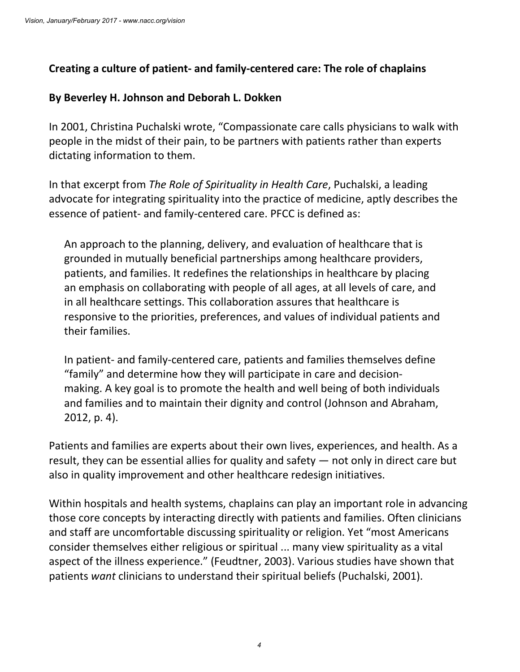# Creating a culture of patient- and family-centered care: The role of chaplains

# By Beverley H. Johnson and Deborah L. Dokken

In 2001, Christina Puchalski wrote, "Compassionate care calls physicians to walk with people in the midst of their pain, to be partners with patients rather than experts dictating information to them.

In that excerpt from The Role of Spirituality in Health Care, Puchalski, a leading advocate for integrating spirituality into the practice of medicine, aptly describes the essence of patient- and family-centered care. PFCC is defined as:

An approach to the planning, delivery, and evaluation of healthcare that is grounded in mutually beneficial partnerships among healthcare providers, patients, and families. It redefines the relationships in healthcare by placing an emphasis on collaborating with people of all ages, at all levels of care, and in all healthcare settings. This collaboration assures that healthcare is responsive to the priorities, preferences, and values of individual patients and their families.

In patient- and family-centered care, patients and families themselves define "family" and determine how they will participate in care and decisionmaking. A key goal is to promote the health and well being of both individuals and families and to maintain their dignity and control (Johnson and Abraham, 2012, p. 4).

Patients and families are experts about their own lives, experiences, and health. As a result, they can be essential allies for quality and safety — not only in direct care but also in quality improvement and other healthcare redesign initiatives.

Within hospitals and health systems, chaplains can play an important role in advancing those core concepts by interacting directly with patients and families. Often clinicians and staff are uncomfortable discussing spirituality or religion. Yet "most Americans consider themselves either religious or spiritual ... many view spirituality as a vital aspect of the illness experience." (Feudtner, 2003). Various studies have shown that patients want clinicians to understand their spiritual beliefs (Puchalski, 2001).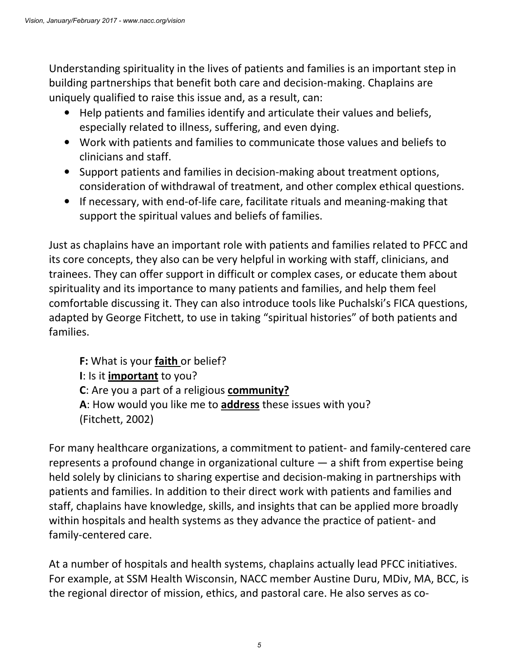Understanding spirituality in the lives of patients and families is an important step in building partnerships that benefit both care and decision-making. Chaplains are uniquely qualified to raise this issue and, as a result, can:

- Help patients and families identify and articulate their values and beliefs, especially related to illness, suffering, and even dying.
- Work with patients and families to communicate those values and beliefs to clinicians and staff.
- Support patients and families in decision-making about treatment options, consideration of withdrawal of treatment, and other complex ethical questions.
- If necessary, with end-of-life care, facilitate rituals and meaning-making that support the spiritual values and beliefs of families.

Just as chaplains have an important role with patients and families related to PFCC and its core concepts, they also can be very helpful in working with staff, clinicians, and trainees. They can offer support in difficult or complex cases, or educate them about spirituality and its importance to many patients and families, and help them feel comfortable discussing it. They can also introduce tools like Puchalski's FICA questions, adapted by George Fitchett, to use in taking "spiritual histories" of both patients and families.

F: What is your faith or belief? I: Is it important to you? C: Are you a part of a religious community? A: How would you like me to address these issues with you? (Fitchett, 2002)

For many healthcare organizations, a commitment to patient- and family-centered care represents a profound change in organizational culture  $-$  a shift from expertise being held solely by clinicians to sharing expertise and decision-making in partnerships with patients and families. In addition to their direct work with patients and families and staff, chaplains have knowledge, skills, and insights that can be applied more broadly within hospitals and health systems as they advance the practice of patient- and family-centered care.

At a number of hospitals and health systems, chaplains actually lead PFCC initiatives. For example, at SSM Health Wisconsin, NACC member Austine Duru, MDiv, MA, BCC, is the regional director of mission, ethics, and pastoral care. He also serves as co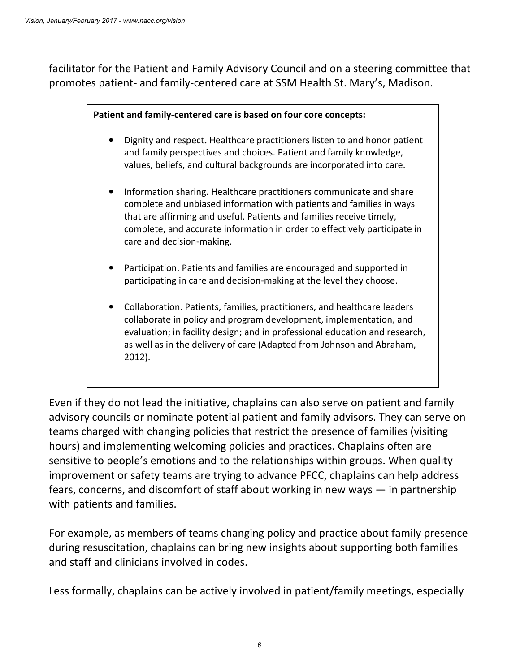facilitator for the Patient and Family Advisory Council and on a steering committee that promotes patient- and family-centered care at SSM Health St. Mary's, Madison.

#### Patient and family-centered care is based on four core concepts:

- Dignity and respect. Healthcare practitioners listen to and honor patient and family perspectives and choices. Patient and family knowledge, values, beliefs, and cultural backgrounds are incorporated into care.
- Information sharing. Healthcare practitioners communicate and share complete and unbiased information with patients and families in ways that are affirming and useful. Patients and families receive timely, complete, and accurate information in order to effectively participate in care and decision-making.
- Participation. Patients and families are encouraged and supported in participating in care and decision-making at the level they choose.
- Collaboration. Patients, families, practitioners, and healthcare leaders collaborate in policy and program development, implementation, and evaluation; in facility design; and in professional education and research, as well as in the delivery of care (Adapted from Johnson and Abraham, 2012).

Even if they do not lead the initiative, chaplains can also serve on patient and family advisory councils or nominate potential patient and family advisors. They can serve on teams charged with changing policies that restrict the presence of families (visiting hours) and implementing welcoming policies and practices. Chaplains often are sensitive to people's emotions and to the relationships within groups. When quality improvement or safety teams are trying to advance PFCC, chaplains can help address fears, concerns, and discomfort of staff about working in new ways — in partnership with patients and families.

For example, as members of teams changing policy and practice about family presence during resuscitation, chaplains can bring new insights about supporting both families and staff and clinicians involved in codes.

Less formally, chaplains can be actively involved in patient/family meetings, especially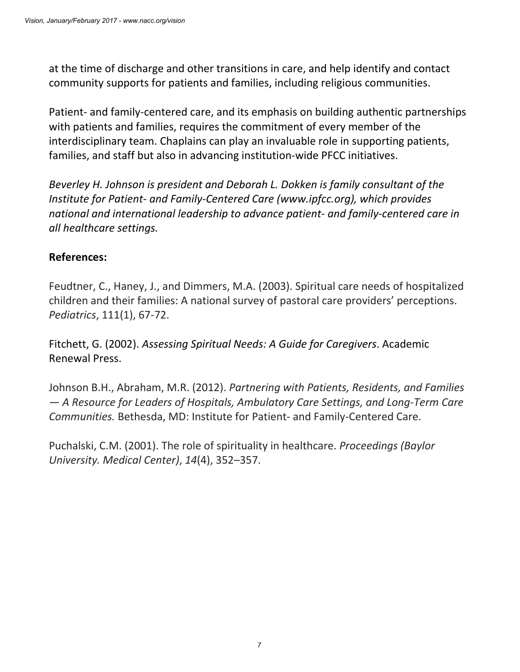at the time of discharge and other transitions in care, and help identify and contact community supports for patients and families, including religious communities.

Patient- and family-centered care, and its emphasis on building authentic partnerships with patients and families, requires the commitment of every member of the interdisciplinary team. Chaplains can play an invaluable role in supporting patients, families, and staff but also in advancing institution-wide PFCC initiatives.

Beverley H. Johnson is president and Deborah L. Dokken is family consultant of the Institute for Patient- and Family-Centered Care (www.ipfcc.org), which provides national and international leadership to advance patient- and family-centered care in all healthcare settings.

# References:

Feudtner, C., Haney, J., and Dimmers, M.A. (2003). Spiritual care needs of hospitalized children and their families: A national survey of pastoral care providers' perceptions. Pediatrics, 111(1), 67-72.

Fitchett, G. (2002). Assessing Spiritual Needs: A Guide for Caregivers. Academic Renewal Press.

Johnson B.H., Abraham, M.R. (2012). Partnering with Patients, Residents, and Families — A Resource for Leaders of Hospitals, Ambulatory Care Settings, and Long-Term Care Communities. Bethesda, MD: Institute for Patient- and Family-Centered Care.

Puchalski, C.M. (2001). The role of spirituality in healthcare. Proceedings (Baylor University. Medical Center), 14(4), 352–357.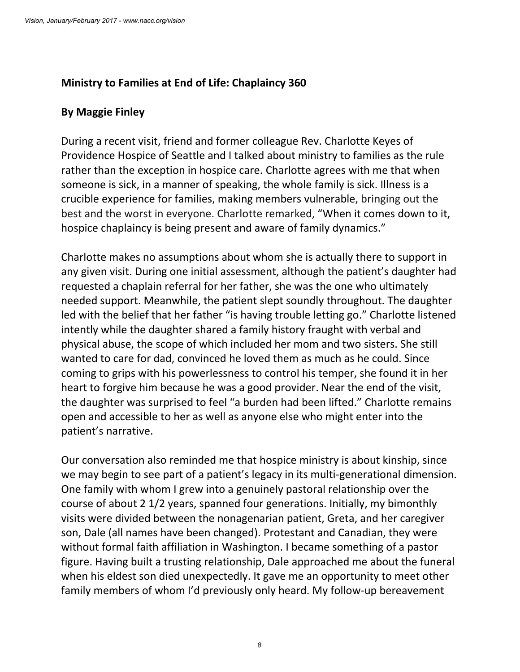# Ministry to Families at End of Life: Chaplaincy 360

## By Maggie Finley

During a recent visit, friend and former colleague Rev. Charlotte Keyes of Providence Hospice of Seattle and I talked about ministry to families as the rule rather than the exception in hospice care. Charlotte agrees with me that when someone is sick, in a manner of speaking, the whole family is sick. Illness is a crucible experience for families, making members vulnerable, bringing out the best and the worst in everyone. Charlotte remarked, "When it comes down to it, hospice chaplaincy is being present and aware of family dynamics."

Charlotte makes no assumptions about whom she is actually there to support in any given visit. During one initial assessment, although the patient's daughter had requested a chaplain referral for her father, she was the one who ultimately needed support. Meanwhile, the patient slept soundly throughout. The daughter led with the belief that her father "is having trouble letting go." Charlotte listened intently while the daughter shared a family history fraught with verbal and physical abuse, the scope of which included her mom and two sisters. She still wanted to care for dad, convinced he loved them as much as he could. Since coming to grips with his powerlessness to control his temper, she found it in her heart to forgive him because he was a good provider. Near the end of the visit, the daughter was surprised to feel "a burden had been lifted." Charlotte remains open and accessible to her as well as anyone else who might enter into the patient's narrative.

Our conversation also reminded me that hospice ministry is about kinship, since we may begin to see part of a patient's legacy in its multi-generational dimension. One family with whom I grew into a genuinely pastoral relationship over the course of about 2 1/2 years, spanned four generations. Initially, my bimonthly visits were divided between the nonagenarian patient, Greta, and her caregiver son, Dale (all names have been changed). Protestant and Canadian, they were without formal faith affiliation in Washington. I became something of a pastor figure. Having built a trusting relationship, Dale approached me about the funeral when his eldest son died unexpectedly. It gave me an opportunity to meet other family members of whom I'd previously only heard. My follow-up bereavement

*8*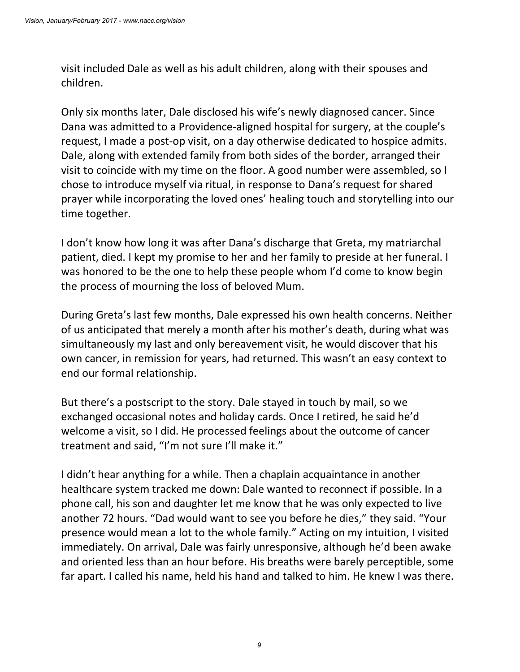visit included Dale as well as his adult children, along with their spouses and children.

Only six months later, Dale disclosed his wife's newly diagnosed cancer. Since Dana was admitted to a Providence-aligned hospital for surgery, at the couple's request, I made a post-op visit, on a day otherwise dedicated to hospice admits. Dale, along with extended family from both sides of the border, arranged their visit to coincide with my time on the floor. A good number were assembled, so I chose to introduce myself via ritual, in response to Dana's request for shared prayer while incorporating the loved ones' healing touch and storytelling into our time together.

I don't know how long it was after Dana's discharge that Greta, my matriarchal patient, died. I kept my promise to her and her family to preside at her funeral. I was honored to be the one to help these people whom I'd come to know begin the process of mourning the loss of beloved Mum.

During Greta's last few months, Dale expressed his own health concerns. Neither of us anticipated that merely a month after his mother's death, during what was simultaneously my last and only bereavement visit, he would discover that his own cancer, in remission for years, had returned. This wasn't an easy context to end our formal relationship.

But there's a postscript to the story. Dale stayed in touch by mail, so we exchanged occasional notes and holiday cards. Once I retired, he said he'd welcome a visit, so I did. He processed feelings about the outcome of cancer treatment and said, "I'm not sure I'll make it."

I didn't hear anything for a while. Then a chaplain acquaintance in another healthcare system tracked me down: Dale wanted to reconnect if possible. In a phone call, his son and daughter let me know that he was only expected to live another 72 hours. "Dad would want to see you before he dies," they said. "Your presence would mean a lot to the whole family." Acting on my intuition, I visited immediately. On arrival, Dale was fairly unresponsive, although he'd been awake and oriented less than an hour before. His breaths were barely perceptible, some far apart. I called his name, held his hand and talked to him. He knew I was there.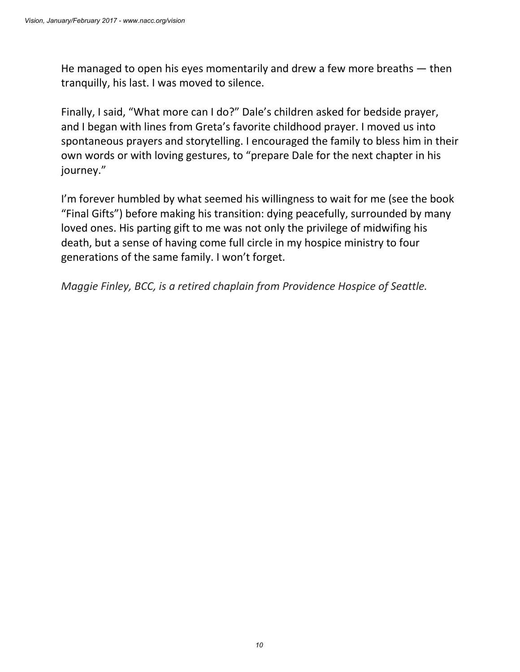He managed to open his eyes momentarily and drew a few more breaths — then tranquilly, his last. I was moved to silence.

Finally, I said, "What more can I do?" Dale's children asked for bedside prayer, and I began with lines from Greta's favorite childhood prayer. I moved us into spontaneous prayers and storytelling. I encouraged the family to bless him in their own words or with loving gestures, to "prepare Dale for the next chapter in his journey."

I'm forever humbled by what seemed his willingness to wait for me (see the book "Final Gifts") before making his transition: dying peacefully, surrounded by many loved ones. His parting gift to me was not only the privilege of midwifing his death, but a sense of having come full circle in my hospice ministry to four generations of the same family. I won't forget.

Maggie Finley, BCC, is a retired chaplain from Providence Hospice of Seattle.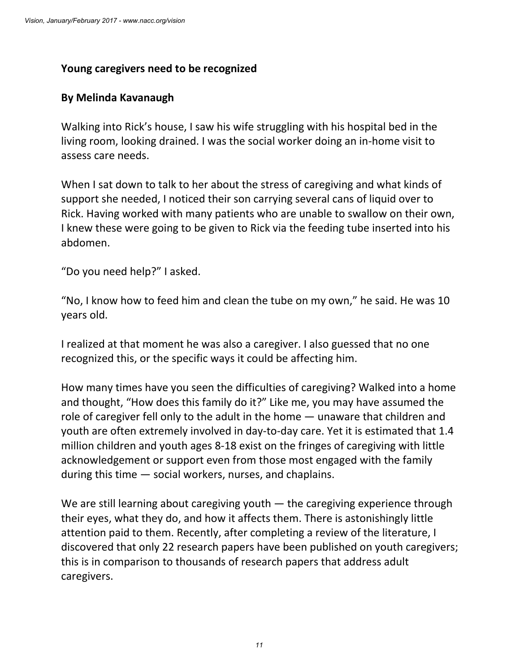### Young caregivers need to be recognized

#### By Melinda Kavanaugh

Walking into Rick's house, I saw his wife struggling with his hospital bed in the living room, looking drained. I was the social worker doing an in-home visit to assess care needs.

When I sat down to talk to her about the stress of caregiving and what kinds of support she needed, I noticed their son carrying several cans of liquid over to Rick. Having worked with many patients who are unable to swallow on their own, I knew these were going to be given to Rick via the feeding tube inserted into his abdomen.

"Do you need help?" I asked.

"No, I know how to feed him and clean the tube on my own," he said. He was 10 years old.

I realized at that moment he was also a caregiver. I also guessed that no one recognized this, or the specific ways it could be affecting him.

How many times have you seen the difficulties of caregiving? Walked into a home and thought, "How does this family do it?" Like me, you may have assumed the role of caregiver fell only to the adult in the home — unaware that children and youth are often extremely involved in day-to-day care. Yet it is estimated that 1.4 million children and youth ages 8-18 exist on the fringes of caregiving with little acknowledgement or support even from those most engaged with the family during this time — social workers, nurses, and chaplains.

We are still learning about caregiving youth — the caregiving experience through their eyes, what they do, and how it affects them. There is astonishingly little attention paid to them. Recently, after completing a review of the literature, I discovered that only 22 research papers have been published on youth caregivers; this is in comparison to thousands of research papers that address adult caregivers.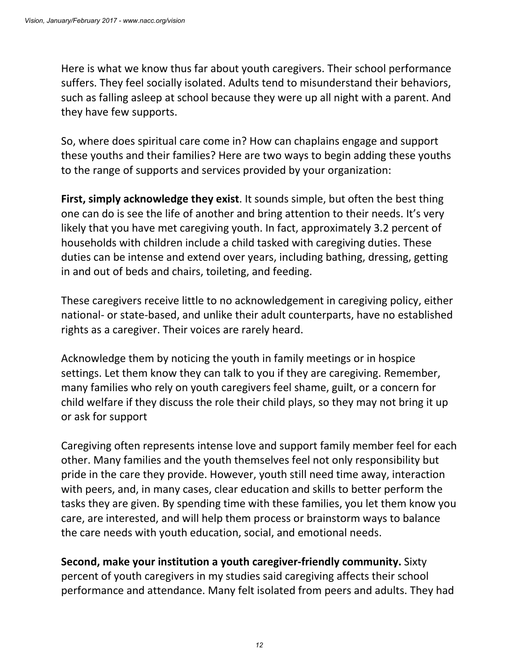Here is what we know thus far about youth caregivers. Their school performance suffers. They feel socially isolated. Adults tend to misunderstand their behaviors, such as falling asleep at school because they were up all night with a parent. And they have few supports.

So, where does spiritual care come in? How can chaplains engage and support these youths and their families? Here are two ways to begin adding these youths to the range of supports and services provided by your organization:

First, simply acknowledge they exist. It sounds simple, but often the best thing one can do is see the life of another and bring attention to their needs. It's very likely that you have met caregiving youth. In fact, approximately 3.2 percent of households with children include a child tasked with caregiving duties. These duties can be intense and extend over years, including bathing, dressing, getting in and out of beds and chairs, toileting, and feeding.

These caregivers receive little to no acknowledgement in caregiving policy, either national- or state-based, and unlike their adult counterparts, have no established rights as a caregiver. Their voices are rarely heard.

Acknowledge them by noticing the youth in family meetings or in hospice settings. Let them know they can talk to you if they are caregiving. Remember, many families who rely on youth caregivers feel shame, guilt, or a concern for child welfare if they discuss the role their child plays, so they may not bring it up or ask for support

Caregiving often represents intense love and support family member feel for each other. Many families and the youth themselves feel not only responsibility but pride in the care they provide. However, youth still need time away, interaction with peers, and, in many cases, clear education and skills to better perform the tasks they are given. By spending time with these families, you let them know you care, are interested, and will help them process or brainstorm ways to balance the care needs with youth education, social, and emotional needs.

Second, make your institution a youth caregiver-friendly community. Sixty percent of youth caregivers in my studies said caregiving affects their school performance and attendance. Many felt isolated from peers and adults. They had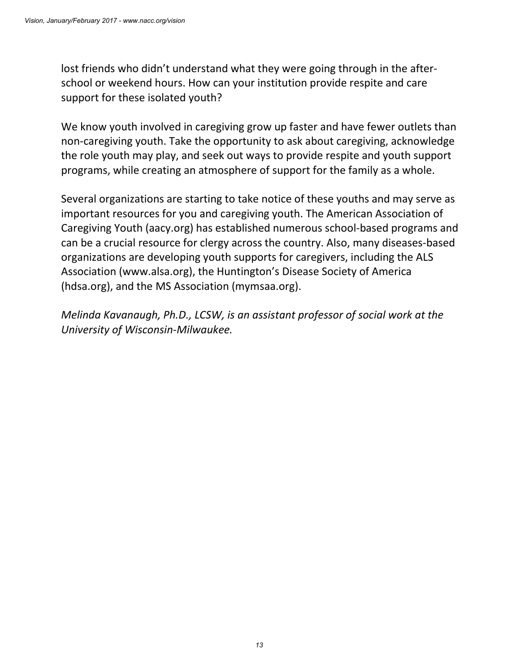lost friends who didn't understand what they were going through in the afterschool or weekend hours. How can your institution provide respite and care support for these isolated youth?

We know youth involved in caregiving grow up faster and have fewer outlets than non-caregiving youth. Take the opportunity to ask about caregiving, acknowledge the role youth may play, and seek out ways to provide respite and youth support programs, while creating an atmosphere of support for the family as a whole.

Several organizations are starting to take notice of these youths and may serve as important resources for you and caregiving youth. The American Association of Caregiving Youth (aacy.org) has established numerous school-based programs and can be a crucial resource for clergy across the country. Also, many diseases-based organizations are developing youth supports for caregivers, including the ALS Association (www.alsa.org), the Huntington's Disease Society of America (hdsa.org), and the MS Association (mymsaa.org).

Melinda Kavanaugh, Ph.D., LCSW, is an assistant professor of social work at the University of Wisconsin-Milwaukee.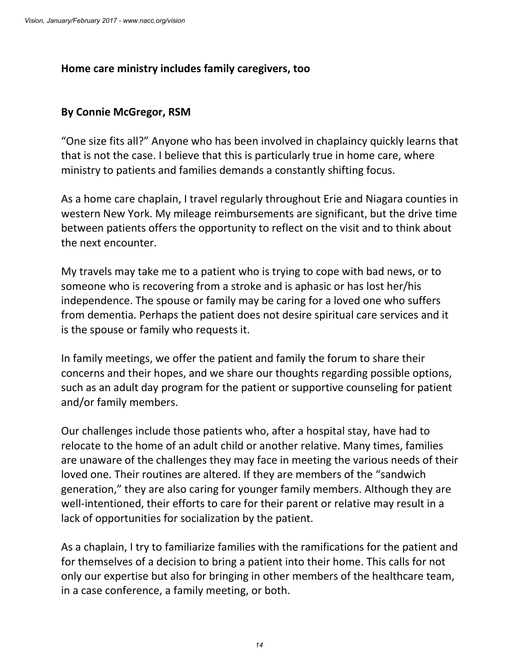### Home care ministry includes family caregivers, too

#### By Connie McGregor, RSM

"One size fits all?" Anyone who has been involved in chaplaincy quickly learns that that is not the case. I believe that this is particularly true in home care, where ministry to patients and families demands a constantly shifting focus.

As a home care chaplain, I travel regularly throughout Erie and Niagara counties in western New York. My mileage reimbursements are significant, but the drive time between patients offers the opportunity to reflect on the visit and to think about the next encounter.

My travels may take me to a patient who is trying to cope with bad news, or to someone who is recovering from a stroke and is aphasic or has lost her/his independence. The spouse or family may be caring for a loved one who suffers from dementia. Perhaps the patient does not desire spiritual care services and it is the spouse or family who requests it.

In family meetings, we offer the patient and family the forum to share their concerns and their hopes, and we share our thoughts regarding possible options, such as an adult day program for the patient or supportive counseling for patient and/or family members.

Our challenges include those patients who, after a hospital stay, have had to relocate to the home of an adult child or another relative. Many times, families are unaware of the challenges they may face in meeting the various needs of their loved one. Their routines are altered. If they are members of the "sandwich generation," they are also caring for younger family members. Although they are well-intentioned, their efforts to care for their parent or relative may result in a lack of opportunities for socialization by the patient.

As a chaplain, I try to familiarize families with the ramifications for the patient and for themselves of a decision to bring a patient into their home. This calls for not only our expertise but also for bringing in other members of the healthcare team, in a case conference, a family meeting, or both.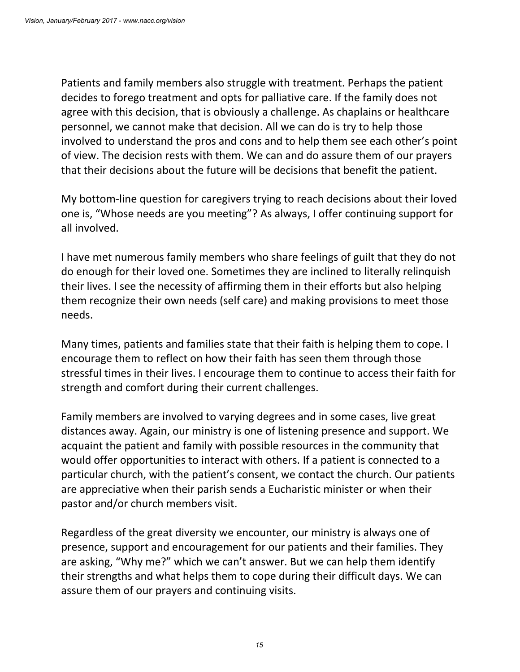Patients and family members also struggle with treatment. Perhaps the patient decides to forego treatment and opts for palliative care. If the family does not agree with this decision, that is obviously a challenge. As chaplains or healthcare personnel, we cannot make that decision. All we can do is try to help those involved to understand the pros and cons and to help them see each other's point of view. The decision rests with them. We can and do assure them of our prayers that their decisions about the future will be decisions that benefit the patient.

My bottom-line question for caregivers trying to reach decisions about their loved one is, "Whose needs are you meeting"? As always, I offer continuing support for all involved.

I have met numerous family members who share feelings of guilt that they do not do enough for their loved one. Sometimes they are inclined to literally relinquish their lives. I see the necessity of affirming them in their efforts but also helping them recognize their own needs (self care) and making provisions to meet those needs.

Many times, patients and families state that their faith is helping them to cope. I encourage them to reflect on how their faith has seen them through those stressful times in their lives. I encourage them to continue to access their faith for strength and comfort during their current challenges.

Family members are involved to varying degrees and in some cases, live great distances away. Again, our ministry is one of listening presence and support. We acquaint the patient and family with possible resources in the community that would offer opportunities to interact with others. If a patient is connected to a particular church, with the patient's consent, we contact the church. Our patients are appreciative when their parish sends a Eucharistic minister or when their pastor and/or church members visit.

Regardless of the great diversity we encounter, our ministry is always one of presence, support and encouragement for our patients and their families. They are asking, "Why me?" which we can't answer. But we can help them identify their strengths and what helps them to cope during their difficult days. We can assure them of our prayers and continuing visits.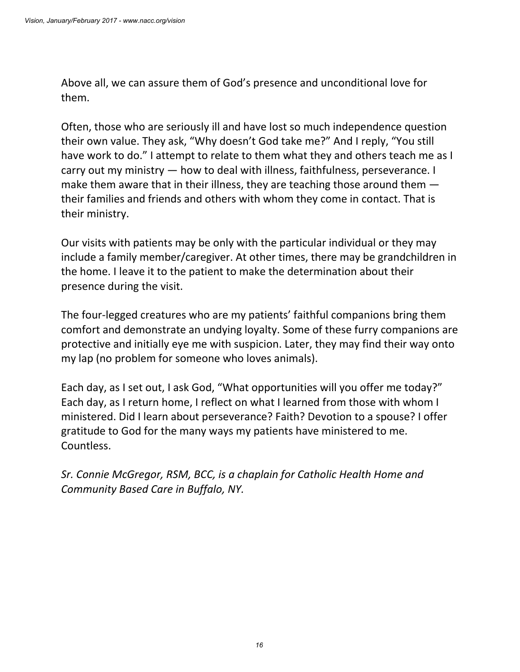Above all, we can assure them of God's presence and unconditional love for them.

Often, those who are seriously ill and have lost so much independence question their own value. They ask, "Why doesn't God take me?" And I reply, "You still have work to do." I attempt to relate to them what they and others teach me as I carry out my ministry — how to deal with illness, faithfulness, perseverance. I make them aware that in their illness, they are teaching those around them their families and friends and others with whom they come in contact. That is their ministry.

Our visits with patients may be only with the particular individual or they may include a family member/caregiver. At other times, there may be grandchildren in the home. I leave it to the patient to make the determination about their presence during the visit.

The four-legged creatures who are my patients' faithful companions bring them comfort and demonstrate an undying loyalty. Some of these furry companions are protective and initially eye me with suspicion. Later, they may find their way onto my lap (no problem for someone who loves animals).

Each day, as I set out, I ask God, "What opportunities will you offer me today?" Each day, as I return home, I reflect on what I learned from those with whom I ministered. Did I learn about perseverance? Faith? Devotion to a spouse? I offer gratitude to God for the many ways my patients have ministered to me. Countless.

Sr. Connie McGregor, RSM, BCC, is a chaplain for Catholic Health Home and Community Based Care in Buffalo, NY.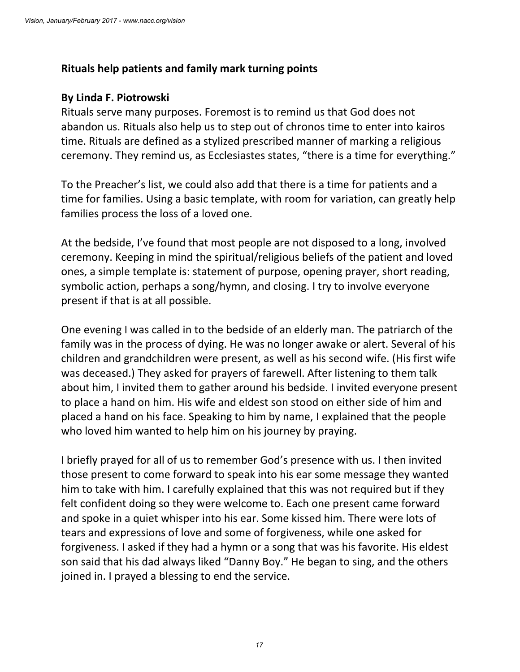### Rituals help patients and family mark turning points

#### By Linda F. Piotrowski

Rituals serve many purposes. Foremost is to remind us that God does not abandon us. Rituals also help us to step out of chronos time to enter into kairos time. Rituals are defined as a stylized prescribed manner of marking a religious ceremony. They remind us, as Ecclesiastes states, "there is a time for everything."

To the Preacher's list, we could also add that there is a time for patients and a time for families. Using a basic template, with room for variation, can greatly help families process the loss of a loved one.

At the bedside, I've found that most people are not disposed to a long, involved ceremony. Keeping in mind the spiritual/religious beliefs of the patient and loved ones, a simple template is: statement of purpose, opening prayer, short reading, symbolic action, perhaps a song/hymn, and closing. I try to involve everyone present if that is at all possible.

One evening I was called in to the bedside of an elderly man. The patriarch of the family was in the process of dying. He was no longer awake or alert. Several of his children and grandchildren were present, as well as his second wife. (His first wife was deceased.) They asked for prayers of farewell. After listening to them talk about him, I invited them to gather around his bedside. I invited everyone present to place a hand on him. His wife and eldest son stood on either side of him and placed a hand on his face. Speaking to him by name, I explained that the people who loved him wanted to help him on his journey by praying.

I briefly prayed for all of us to remember God's presence with us. I then invited those present to come forward to speak into his ear some message they wanted him to take with him. I carefully explained that this was not required but if they felt confident doing so they were welcome to. Each one present came forward and spoke in a quiet whisper into his ear. Some kissed him. There were lots of tears and expressions of love and some of forgiveness, while one asked for forgiveness. I asked if they had a hymn or a song that was his favorite. His eldest son said that his dad always liked "Danny Boy." He began to sing, and the others joined in. I prayed a blessing to end the service.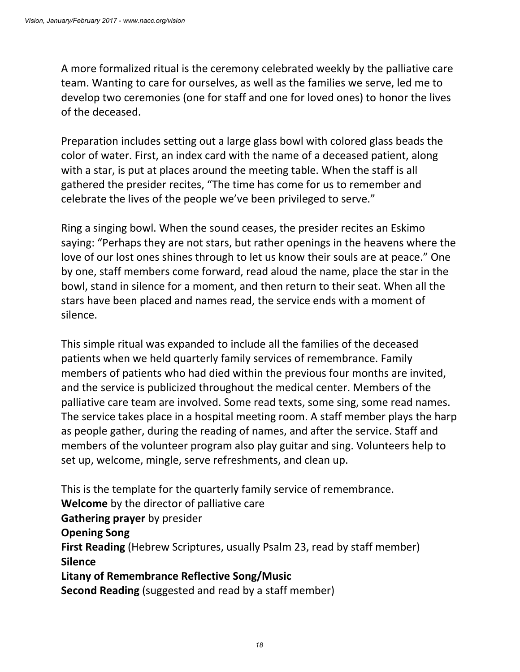A more formalized ritual is the ceremony celebrated weekly by the palliative care team. Wanting to care for ourselves, as well as the families we serve, led me to develop two ceremonies (one for staff and one for loved ones) to honor the lives of the deceased.

Preparation includes setting out a large glass bowl with colored glass beads the color of water. First, an index card with the name of a deceased patient, along with a star, is put at places around the meeting table. When the staff is all gathered the presider recites, "The time has come for us to remember and celebrate the lives of the people we've been privileged to serve."

Ring a singing bowl. When the sound ceases, the presider recites an Eskimo saying: "Perhaps they are not stars, but rather openings in the heavens where the love of our lost ones shines through to let us know their souls are at peace." One by one, staff members come forward, read aloud the name, place the star in the bowl, stand in silence for a moment, and then return to their seat. When all the stars have been placed and names read, the service ends with a moment of silence.

This simple ritual was expanded to include all the families of the deceased patients when we held quarterly family services of remembrance. Family members of patients who had died within the previous four months are invited, and the service is publicized throughout the medical center. Members of the palliative care team are involved. Some read texts, some sing, some read names. The service takes place in a hospital meeting room. A staff member plays the harp as people gather, during the reading of names, and after the service. Staff and members of the volunteer program also play guitar and sing. Volunteers help to set up, welcome, mingle, serve refreshments, and clean up.

This is the template for the quarterly family service of remembrance.

Welcome by the director of palliative care

Gathering prayer by presider

Opening Song

First Reading (Hebrew Scriptures, usually Psalm 23, read by staff member) Silence

Litany of Remembrance Reflective Song/Music

Second Reading (suggested and read by a staff member)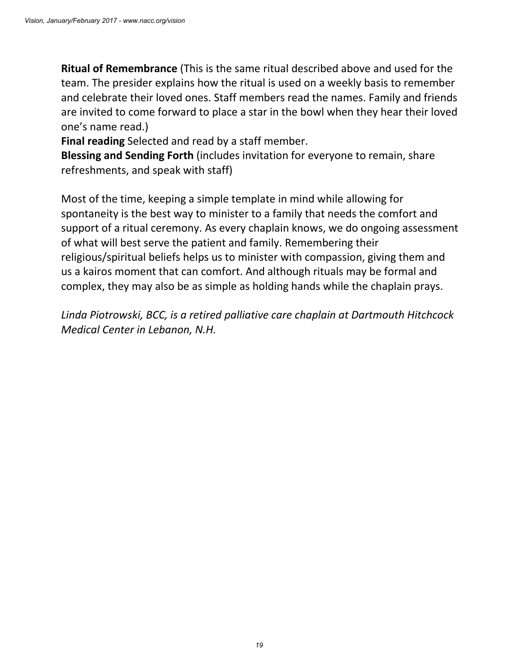Ritual of Remembrance (This is the same ritual described above and used for the team. The presider explains how the ritual is used on a weekly basis to remember and celebrate their loved ones. Staff members read the names. Family and friends are invited to come forward to place a star in the bowl when they hear their loved one's name read.)

Final reading Selected and read by a staff member.

Blessing and Sending Forth (includes invitation for everyone to remain, share refreshments, and speak with staff)

Most of the time, keeping a simple template in mind while allowing for spontaneity is the best way to minister to a family that needs the comfort and support of a ritual ceremony. As every chaplain knows, we do ongoing assessment of what will best serve the patient and family. Remembering their religious/spiritual beliefs helps us to minister with compassion, giving them and us a kairos moment that can comfort. And although rituals may be formal and complex, they may also be as simple as holding hands while the chaplain prays.

Linda Piotrowski, BCC, is a retired palliative care chaplain at Dartmouth Hitchcock Medical Center in Lebanon, N.H.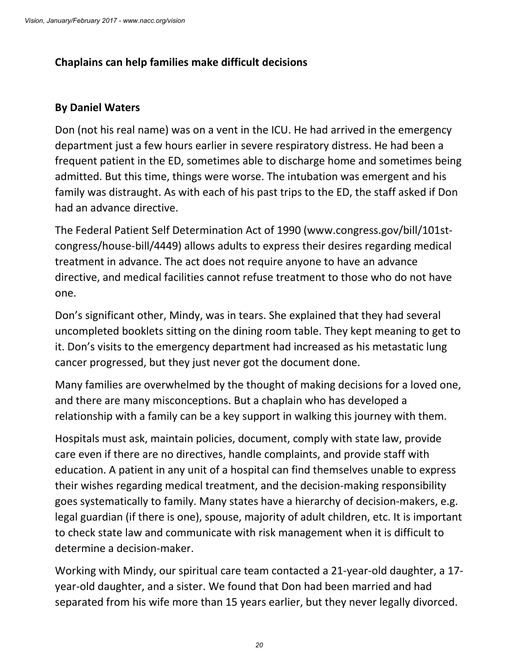# Chaplains can help families make difficult decisions

# By Daniel Waters

Don (not his real name) was on a vent in the ICU. He had arrived in the emergency department just a few hours earlier in severe respiratory distress. He had been a frequent patient in the ED, sometimes able to discharge home and sometimes being admitted. But this time, things were worse. The intubation was emergent and his family was distraught. As with each of his past trips to the ED, the staff asked if Don had an advance directive.

The Federal Patient Self Determination Act of 1990 (www.congress.gov/bill/101stcongress/house-bill/4449) allows adults to express their desires regarding medical treatment in advance. The act does not require anyone to have an advance directive, and medical facilities cannot refuse treatment to those who do not have one.

Don's significant other, Mindy, was in tears. She explained that they had several uncompleted booklets sitting on the dining room table. They kept meaning to get to it. Don's visits to the emergency department had increased as his metastatic lung cancer progressed, but they just never got the document done.

Many families are overwhelmed by the thought of making decisions for a loved one, and there are many misconceptions. But a chaplain who has developed a relationship with a family can be a key support in walking this journey with them.

Hospitals must ask, maintain policies, document, comply with state law, provide care even if there are no directives, handle complaints, and provide staff with education. A patient in any unit of a hospital can find themselves unable to express their wishes regarding medical treatment, and the decision-making responsibility goes systematically to family. Many states have a hierarchy of decision-makers, e.g. legal guardian (if there is one), spouse, majority of adult children, etc. It is important to check state law and communicate with risk management when it is difficult to determine a decision-maker.

Working with Mindy, our spiritual care team contacted a 21-year-old daughter, a 17 year-old daughter, and a sister. We found that Don had been married and had separated from his wife more than 15 years earlier, but they never legally divorced.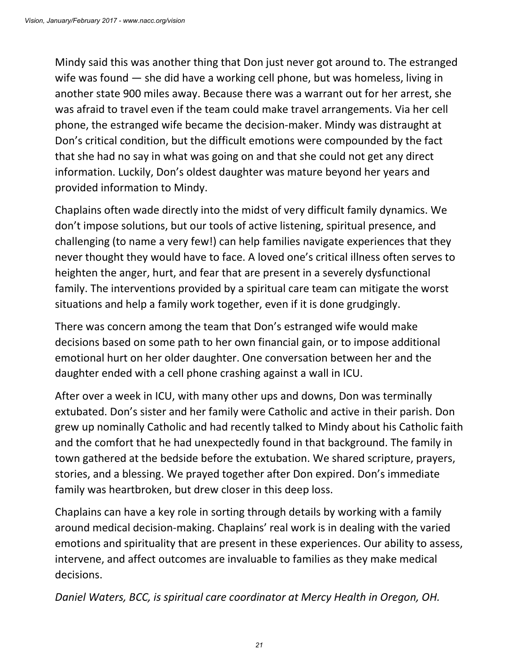Mindy said this was another thing that Don just never got around to. The estranged wife was found — she did have a working cell phone, but was homeless, living in another state 900 miles away. Because there was a warrant out for her arrest, she was afraid to travel even if the team could make travel arrangements. Via her cell phone, the estranged wife became the decision-maker. Mindy was distraught at Don's critical condition, but the difficult emotions were compounded by the fact that she had no say in what was going on and that she could not get any direct information. Luckily, Don's oldest daughter was mature beyond her years and provided information to Mindy.

Chaplains often wade directly into the midst of very difficult family dynamics. We don't impose solutions, but our tools of active listening, spiritual presence, and challenging (to name a very few!) can help families navigate experiences that they never thought they would have to face. A loved one's critical illness often serves to heighten the anger, hurt, and fear that are present in a severely dysfunctional family. The interventions provided by a spiritual care team can mitigate the worst situations and help a family work together, even if it is done grudgingly.

There was concern among the team that Don's estranged wife would make decisions based on some path to her own financial gain, or to impose additional emotional hurt on her older daughter. One conversation between her and the daughter ended with a cell phone crashing against a wall in ICU.

After over a week in ICU, with many other ups and downs, Don was terminally extubated. Don's sister and her family were Catholic and active in their parish. Don grew up nominally Catholic and had recently talked to Mindy about his Catholic faith and the comfort that he had unexpectedly found in that background. The family in town gathered at the bedside before the extubation. We shared scripture, prayers, stories, and a blessing. We prayed together after Don expired. Don's immediate family was heartbroken, but drew closer in this deep loss.

Chaplains can have a key role in sorting through details by working with a family around medical decision-making. Chaplains' real work is in dealing with the varied emotions and spirituality that are present in these experiences. Our ability to assess, intervene, and affect outcomes are invaluable to families as they make medical decisions.

Daniel Waters, BCC, is spiritual care coordinator at Mercy Health in Oregon, OH.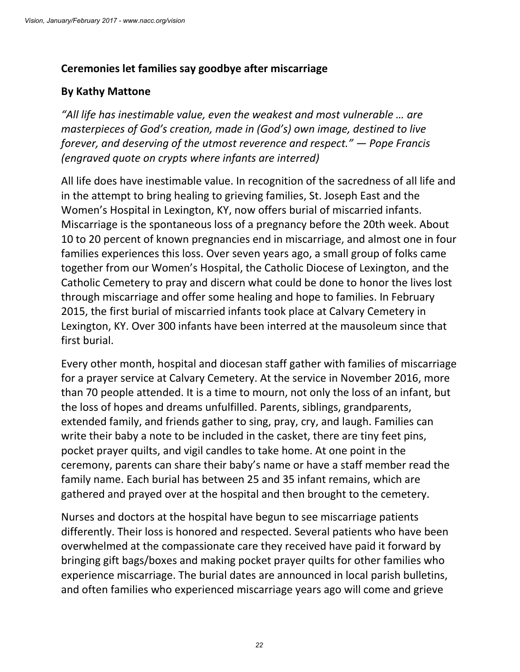# Ceremonies let families say goodbye after miscarriage

# By Kathy Mattone

"All life has inestimable value, even the weakest and most vulnerable … are masterpieces of God's creation, made in (God's) own image, destined to live forever, and deserving of the utmost reverence and respect." — Pope Francis (engraved quote on crypts where infants are interred)

All life does have inestimable value. In recognition of the sacredness of all life and in the attempt to bring healing to grieving families, St. Joseph East and the Women's Hospital in Lexington, KY, now offers burial of miscarried infants. Miscarriage is the spontaneous loss of a pregnancy before the 20th week. About 10 to 20 percent of known pregnancies end in miscarriage, and almost one in four families experiences this loss. Over seven years ago, a small group of folks came together from our Women's Hospital, the Catholic Diocese of Lexington, and the Catholic Cemetery to pray and discern what could be done to honor the lives lost through miscarriage and offer some healing and hope to families. In February 2015, the first burial of miscarried infants took place at Calvary Cemetery in Lexington, KY. Over 300 infants have been interred at the mausoleum since that first burial.

Every other month, hospital and diocesan staff gather with families of miscarriage for a prayer service at Calvary Cemetery. At the service in November 2016, more than 70 people attended. It is a time to mourn, not only the loss of an infant, but the loss of hopes and dreams unfulfilled. Parents, siblings, grandparents, extended family, and friends gather to sing, pray, cry, and laugh. Families can write their baby a note to be included in the casket, there are tiny feet pins, pocket prayer quilts, and vigil candles to take home. At one point in the ceremony, parents can share their baby's name or have a staff member read the family name. Each burial has between 25 and 35 infant remains, which are gathered and prayed over at the hospital and then brought to the cemetery.

Nurses and doctors at the hospital have begun to see miscarriage patients differently. Their loss is honored and respected. Several patients who have been overwhelmed at the compassionate care they received have paid it forward by bringing gift bags/boxes and making pocket prayer quilts for other families who experience miscarriage. The burial dates are announced in local parish bulletins, and often families who experienced miscarriage years ago will come and grieve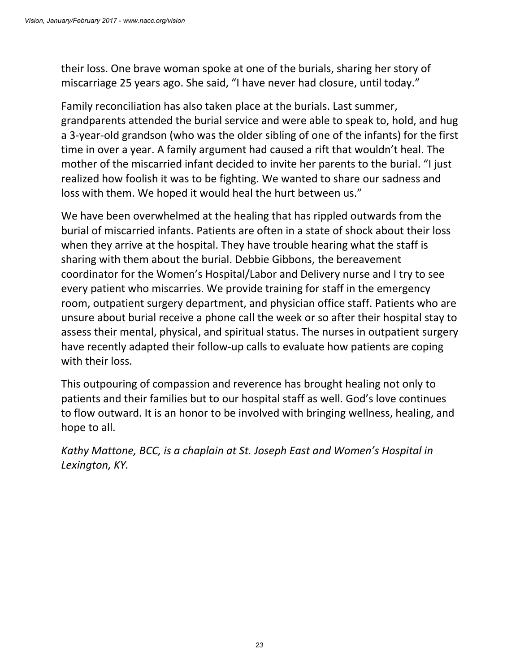their loss. One brave woman spoke at one of the burials, sharing her story of miscarriage 25 years ago. She said, "I have never had closure, until today."

Family reconciliation has also taken place at the burials. Last summer, grandparents attended the burial service and were able to speak to, hold, and hug a 3-year-old grandson (who was the older sibling of one of the infants) for the first time in over a year. A family argument had caused a rift that wouldn't heal. The mother of the miscarried infant decided to invite her parents to the burial. "I just realized how foolish it was to be fighting. We wanted to share our sadness and loss with them. We hoped it would heal the hurt between us."

We have been overwhelmed at the healing that has rippled outwards from the burial of miscarried infants. Patients are often in a state of shock about their loss when they arrive at the hospital. They have trouble hearing what the staff is sharing with them about the burial. Debbie Gibbons, the bereavement coordinator for the Women's Hospital/Labor and Delivery nurse and I try to see every patient who miscarries. We provide training for staff in the emergency room, outpatient surgery department, and physician office staff. Patients who are unsure about burial receive a phone call the week or so after their hospital stay to assess their mental, physical, and spiritual status. The nurses in outpatient surgery have recently adapted their follow-up calls to evaluate how patients are coping with their loss.

This outpouring of compassion and reverence has brought healing not only to patients and their families but to our hospital staff as well. God's love continues to flow outward. It is an honor to be involved with bringing wellness, healing, and hope to all.

Kathy Mattone, BCC, is a chaplain at St. Joseph East and Women's Hospital in Lexington, KY.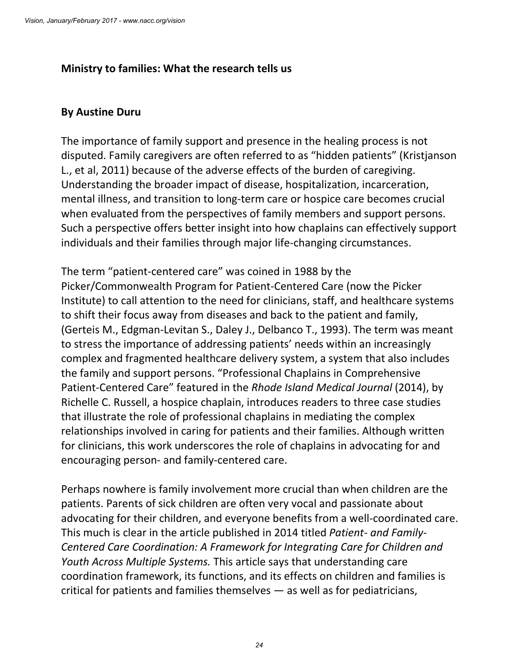# Ministry to families: What the research tells us

# By Austine Duru

The importance of family support and presence in the healing process is not disputed. Family caregivers are often referred to as "hidden patients" (Kristjanson L., et al, 2011) because of the adverse effects of the burden of caregiving. Understanding the broader impact of disease, hospitalization, incarceration, mental illness, and transition to long-term care or hospice care becomes crucial when evaluated from the perspectives of family members and support persons. Such a perspective offers better insight into how chaplains can effectively support individuals and their families through major life-changing circumstances.

The term "patient-centered care" was coined in 1988 by the Picker/Commonwealth Program for Patient-Centered Care (now the Picker Institute) to call attention to the need for clinicians, staff, and healthcare systems to shift their focus away from diseases and back to the patient and family, (Gerteis M., Edgman-Levitan S., Daley J., Delbanco T., 1993). The term was meant to stress the importance of addressing patients' needs within an increasingly complex and fragmented healthcare delivery system, a system that also includes the family and support persons. "Professional Chaplains in Comprehensive Patient-Centered Care" featured in the Rhode Island Medical Journal (2014), by Richelle C. Russell, a hospice chaplain, introduces readers to three case studies that illustrate the role of professional chaplains in mediating the complex relationships involved in caring for patients and their families. Although written for clinicians, this work underscores the role of chaplains in advocating for and encouraging person- and family-centered care.

Perhaps nowhere is family involvement more crucial than when children are the patients. Parents of sick children are often very vocal and passionate about advocating for their children, and everyone benefits from a well-coordinated care. This much is clear in the article published in 2014 titled Patient- and Family-Centered Care Coordination: A Framework for Integrating Care for Children and Youth Across Multiple Systems. This article says that understanding care coordination framework, its functions, and its effects on children and families is critical for patients and families themselves — as well as for pediatricians,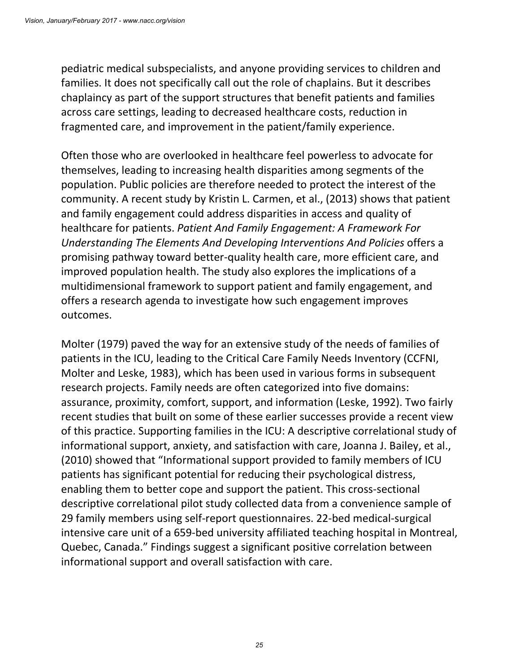pediatric medical subspecialists, and anyone providing services to children and families. It does not specifically call out the role of chaplains. But it describes chaplaincy as part of the support structures that benefit patients and families across care settings, leading to decreased healthcare costs, reduction in fragmented care, and improvement in the patient/family experience.

Often those who are overlooked in healthcare feel powerless to advocate for themselves, leading to increasing health disparities among segments of the population. Public policies are therefore needed to protect the interest of the community. A recent study by Kristin L. Carmen, et al., (2013) shows that patient and family engagement could address disparities in access and quality of healthcare for patients. Patient And Family Engagement: A Framework For Understanding The Elements And Developing Interventions And Policies offers a promising pathway toward better-quality health care, more efficient care, and improved population health. The study also explores the implications of a multidimensional framework to support patient and family engagement, and offers a research agenda to investigate how such engagement improves outcomes.

Molter (1979) paved the way for an extensive study of the needs of families of patients in the ICU, leading to the Critical Care Family Needs Inventory (CCFNI, Molter and Leske, 1983), which has been used in various forms in subsequent research projects. Family needs are often categorized into five domains: assurance, proximity, comfort, support, and information (Leske, 1992). Two fairly recent studies that built on some of these earlier successes provide a recent view of this practice. Supporting families in the ICU: A descriptive correlational study of informational support, anxiety, and satisfaction with care, Joanna J. Bailey, et al., (2010) showed that "Informational support provided to family members of ICU patients has significant potential for reducing their psychological distress, enabling them to better cope and support the patient. This cross-sectional descriptive correlational pilot study collected data from a convenience sample of 29 family members using self-report questionnaires. 22-bed medical-surgical intensive care unit of a 659-bed university affiliated teaching hospital in Montreal, Quebec, Canada." Findings suggest a significant positive correlation between informational support and overall satisfaction with care.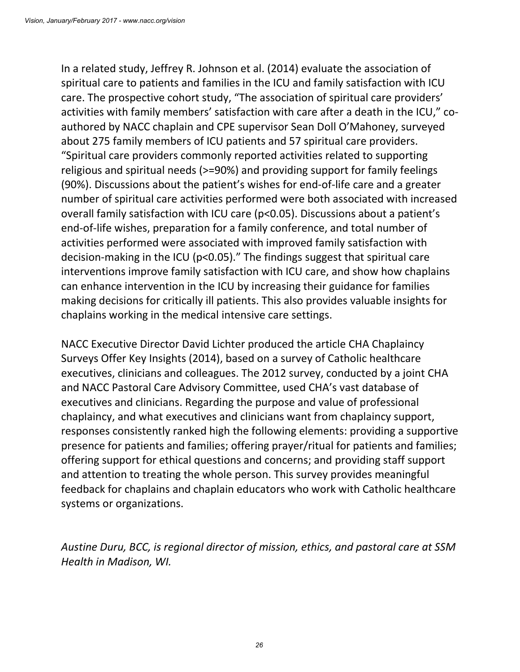In a related study, Jeffrey R. Johnson et al. (2014) evaluate the association of spiritual care to patients and families in the ICU and family satisfaction with ICU care. The prospective cohort study, "The association of spiritual care providers' activities with family members' satisfaction with care after a death in the ICU," coauthored by NACC chaplain and CPE supervisor Sean Doll O'Mahoney, surveyed about 275 family members of ICU patients and 57 spiritual care providers. "Spiritual care providers commonly reported activities related to supporting religious and spiritual needs (>=90%) and providing support for family feelings (90%). Discussions about the patient's wishes for end-of-life care and a greater number of spiritual care activities performed were both associated with increased overall family satisfaction with ICU care (p<0.05). Discussions about a patient's end-of-life wishes, preparation for a family conference, and total number of activities performed were associated with improved family satisfaction with decision-making in the ICU (p<0.05)." The findings suggest that spiritual care interventions improve family satisfaction with ICU care, and show how chaplains can enhance intervention in the ICU by increasing their guidance for families making decisions for critically ill patients. This also provides valuable insights for chaplains working in the medical intensive care settings.

NACC Executive Director David Lichter produced the article CHA Chaplaincy Surveys Offer Key Insights (2014), based on a survey of Catholic healthcare executives, clinicians and colleagues. The 2012 survey, conducted by a joint CHA and NACC Pastoral Care Advisory Committee, used CHA's vast database of executives and clinicians. Regarding the purpose and value of professional chaplaincy, and what executives and clinicians want from chaplaincy support, responses consistently ranked high the following elements: providing a supportive presence for patients and families; offering prayer/ritual for patients and families; offering support for ethical questions and concerns; and providing staff support and attention to treating the whole person. This survey provides meaningful feedback for chaplains and chaplain educators who work with Catholic healthcare systems or organizations.

Austine Duru, BCC, is regional director of mission, ethics, and pastoral care at SSM Health in Madison, WI.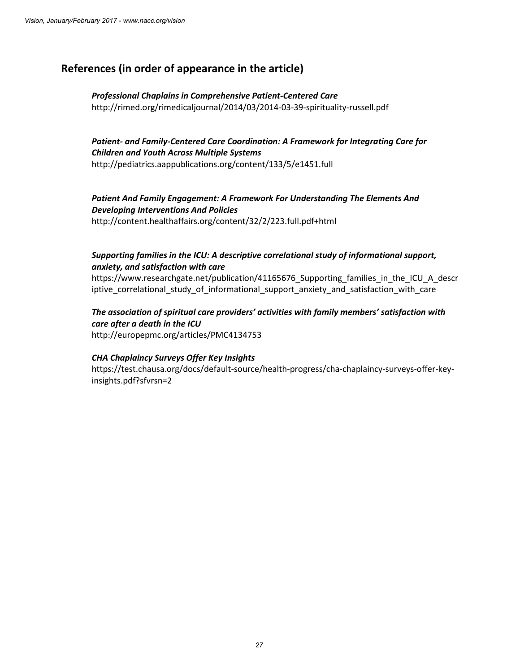### References (in order of appearance in the article)

#### Professional Chaplains in Comprehensive Patient-Centered Care

http://rimed.org/rimedicaljournal/2014/03/2014-03-39-spirituality-russell.pdf

Patient- and Family-Centered Care Coordination: A Framework for Integrating Care for Children and Youth Across Multiple Systems http://pediatrics.aappublications.org/content/133/5/e1451.full

#### Patient And Family Engagement: A Framework For Understanding The Elements And Developing Interventions And Policies

http://content.healthaffairs.org/content/32/2/223.full.pdf+html

#### Supporting families in the ICU: A descriptive correlational study of informational support, anxiety, and satisfaction with care

https://www.researchgate.net/publication/41165676\_Supporting\_families\_in\_the\_ICU\_A\_descr iptive\_correlational\_study\_of\_informational\_support\_anxiety\_and\_satisfaction\_with\_care

#### The association of spiritual care providers' activities with family members' satisfaction with care after a death in the ICU http://europepmc.org/articles/PMC4134753

#### CHA Chaplaincy Surveys Offer Key Insights

https://test.chausa.org/docs/default-source/health-progress/cha-chaplaincy-surveys-offer-keyinsights.pdf?sfvrsn=2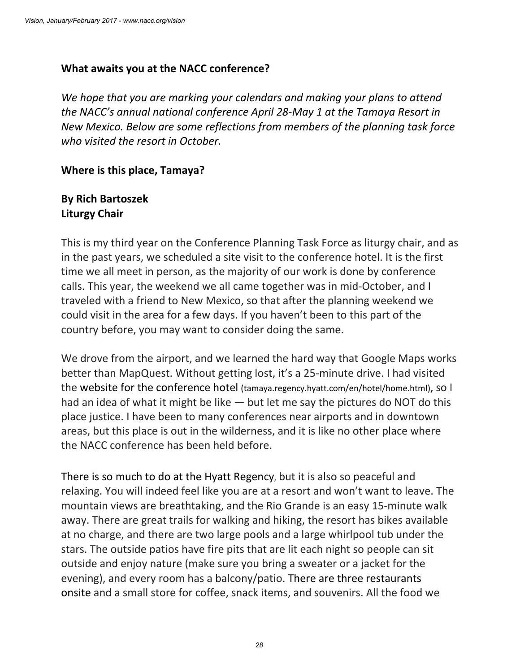# What awaits you at the NACC conference?

We hope that you are marking your calendars and making your plans to attend the NACC's annual national conference April 28-May 1 at the Tamaya Resort in New Mexico. Below are some reflections from members of the planning task force who visited the resort in October.

## Where is this place, Tamaya?

# By Rich Bartoszek Liturgy Chair

This is my third year on the Conference Planning Task Force as liturgy chair, and as in the past years, we scheduled a site visit to the conference hotel. It is the first time we all meet in person, as the majority of our work is done by conference calls. This year, the weekend we all came together was in mid-October, and I traveled with a friend to New Mexico, so that after the planning weekend we could visit in the area for a few days. If you haven't been to this part of the country before, you may want to consider doing the same.

We drove from the airport, and we learned the hard way that Google Maps works better than MapQuest. Without getting lost, it's a 25-minute drive. I had visited the website for the conference hotel (tamaya.regency.hyatt.com/en/hotel/home.html), so I had an idea of what it might be like — but let me say the pictures do NOT do this place justice. I have been to many conferences near airports and in downtown areas, but this place is out in the wilderness, and it is like no other place where the NACC conference has been held before.

There is so much to do at the Hyatt Regency, but it is also so peaceful and relaxing. You will indeed feel like you are at a resort and won't want to leave. The mountain views are breathtaking, and the Rio Grande is an easy 15-minute walk away. There are great trails for walking and hiking, the resort has bikes available at no charge, and there are two large pools and a large whirlpool tub under the stars. The outside patios have fire pits that are lit each night so people can sit outside and enjoy nature (make sure you bring a sweater or a jacket for the evening), and every room has a balcony/patio. There are three restaurants onsite and a small store for coffee, snack items, and souvenirs. All the food we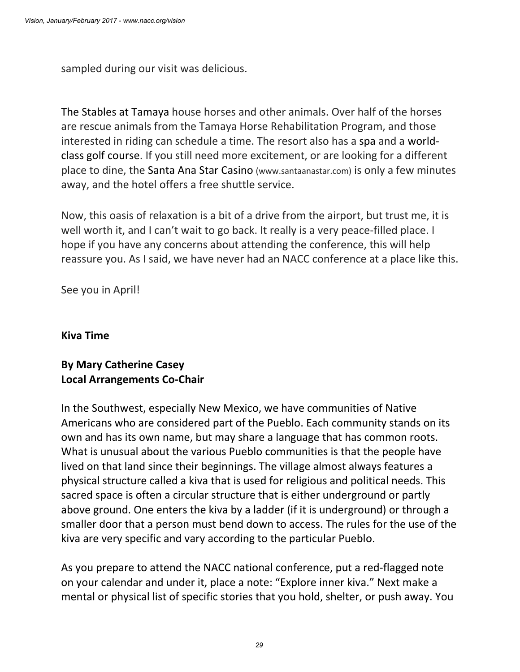sampled during our visit was delicious.

The Stables at Tamaya house horses and other animals. Over half of the horses are rescue animals from the Tamaya Horse Rehabilitation Program, and those interested in riding can schedule a time. The resort also has a spa and a worldclass golf course. If you still need more excitement, or are looking for a different place to dine, the Santa Ana Star Casino (www.santaanastar.com) is only a few minutes away, and the hotel offers a free shuttle service.

Now, this oasis of relaxation is a bit of a drive from the airport, but trust me, it is well worth it, and I can't wait to go back. It really is a very peace-filled place. I hope if you have any concerns about attending the conference, this will help reassure you. As I said, we have never had an NACC conference at a place like this.

See you in April!

### Kiva Time

# By Mary Catherine Casey Local Arrangements Co-Chair

In the Southwest, especially New Mexico, we have communities of Native Americans who are considered part of the Pueblo. Each community stands on its own and has its own name, but may share a language that has common roots. What is unusual about the various Pueblo communities is that the people have lived on that land since their beginnings. The village almost always features a physical structure called a kiva that is used for religious and political needs. This sacred space is often a circular structure that is either underground or partly above ground. One enters the kiva by a ladder (if it is underground) or through a smaller door that a person must bend down to access. The rules for the use of the kiva are very specific and vary according to the particular Pueblo.

As you prepare to attend the NACC national conference, put a red-flagged note on your calendar and under it, place a note: "Explore inner kiva." Next make a mental or physical list of specific stories that you hold, shelter, or push away. You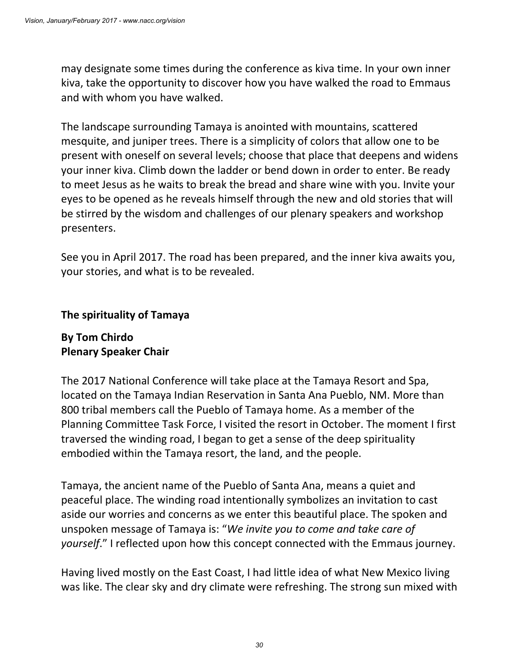may designate some times during the conference as kiva time. In your own inner kiva, take the opportunity to discover how you have walked the road to Emmaus and with whom you have walked.

The landscape surrounding Tamaya is anointed with mountains, scattered mesquite, and juniper trees. There is a simplicity of colors that allow one to be present with oneself on several levels; choose that place that deepens and widens your inner kiva. Climb down the ladder or bend down in order to enter. Be ready to meet Jesus as he waits to break the bread and share wine with you. Invite your eyes to be opened as he reveals himself through the new and old stories that will be stirred by the wisdom and challenges of our plenary speakers and workshop presenters.

See you in April 2017. The road has been prepared, and the inner kiva awaits you, your stories, and what is to be revealed.

## The spirituality of Tamaya

## By Tom Chirdo Plenary Speaker Chair

The 2017 National Conference will take place at the Tamaya Resort and Spa, located on the Tamaya Indian Reservation in Santa Ana Pueblo, NM. More than 800 tribal members call the Pueblo of Tamaya home. As a member of the Planning Committee Task Force, I visited the resort in October. The moment I first traversed the winding road, I began to get a sense of the deep spirituality embodied within the Tamaya resort, the land, and the people.

Tamaya, the ancient name of the Pueblo of Santa Ana, means a quiet and peaceful place. The winding road intentionally symbolizes an invitation to cast aside our worries and concerns as we enter this beautiful place. The spoken and unspoken message of Tamaya is: "We invite you to come and take care of yourself." I reflected upon how this concept connected with the Emmaus journey.

Having lived mostly on the East Coast, I had little idea of what New Mexico living was like. The clear sky and dry climate were refreshing. The strong sun mixed with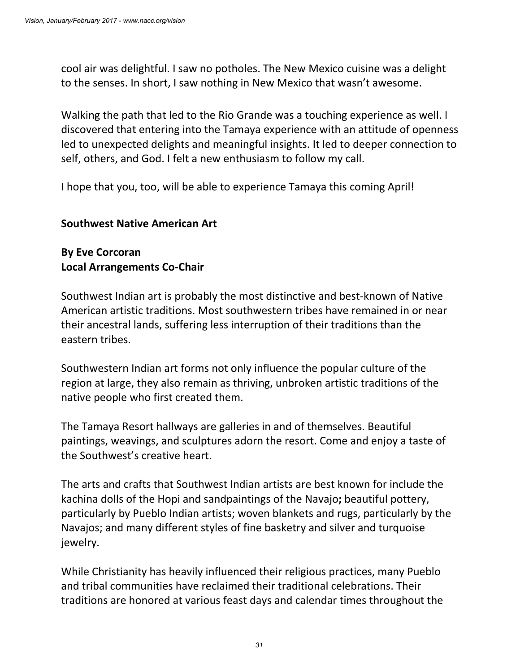cool air was delightful. I saw no potholes. The New Mexico cuisine was a delight to the senses. In short, I saw nothing in New Mexico that wasn't awesome.

Walking the path that led to the Rio Grande was a touching experience as well. I discovered that entering into the Tamaya experience with an attitude of openness led to unexpected delights and meaningful insights. It led to deeper connection to self, others, and God. I felt a new enthusiasm to follow my call.

I hope that you, too, will be able to experience Tamaya this coming April!

#### Southwest Native American Art

# By Eve Corcoran Local Arrangements Co-Chair

Southwest Indian art is probably the most distinctive and best-known of Native American artistic traditions. Most southwestern tribes have remained in or near their ancestral lands, suffering less interruption of their traditions than the eastern tribes.

Southwestern Indian art forms not only influence the popular culture of the region at large, they also remain as thriving, unbroken artistic traditions of the native people who first created them.

The Tamaya Resort hallways are galleries in and of themselves. Beautiful paintings, weavings, and sculptures adorn the resort. Come and enjoy a taste of the Southwest's creative heart.

The arts and crafts that Southwest Indian artists are best known for include the kachina dolls of the Hopi and sandpaintings of the Navajo; beautiful pottery, particularly by Pueblo Indian artists; woven blankets and rugs, particularly by the Navajos; and many different styles of fine basketry and silver and turquoise jewelry.

While Christianity has heavily influenced their religious practices, many Pueblo and tribal communities have reclaimed their traditional celebrations. Their traditions are honored at various feast days and calendar times throughout the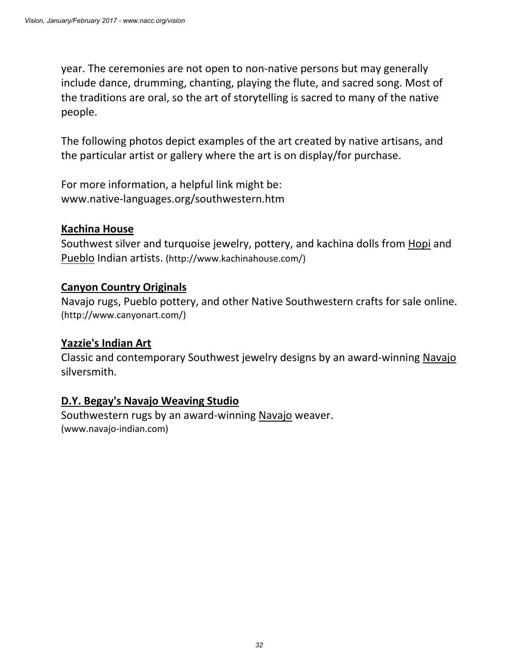year. The ceremonies are not open to non-native persons but may generally include dance, drumming, chanting, playing the flute, and sacred song. Most of the traditions are oral, so the art of storytelling is sacred to many of the native people.

The following photos depict examples of the art created by native artisans, and the particular artist or gallery where the art is on display/for purchase.

For more information, a helpful link might be: www.native-languages.org/southwestern.htm

#### Kachina House

Southwest silver and turquoise jewelry, pottery, and kachina dolls from Hopi and Pueblo Indian artists. (http://www.kachinahouse.com/)

#### Canyon Country Originals

Navajo rugs, Pueblo pottery, and other Native Southwestern crafts for sale online. (http://www.canyonart.com/)

## Yazzie's Indian Art

Classic and contemporary Southwest jewelry designs by an award-winning Navajo silversmith.

## D.Y. Begay's Navajo Weaving Studio

Southwestern rugs by an award-winning Navajo weaver. (www.navajo-indian.com)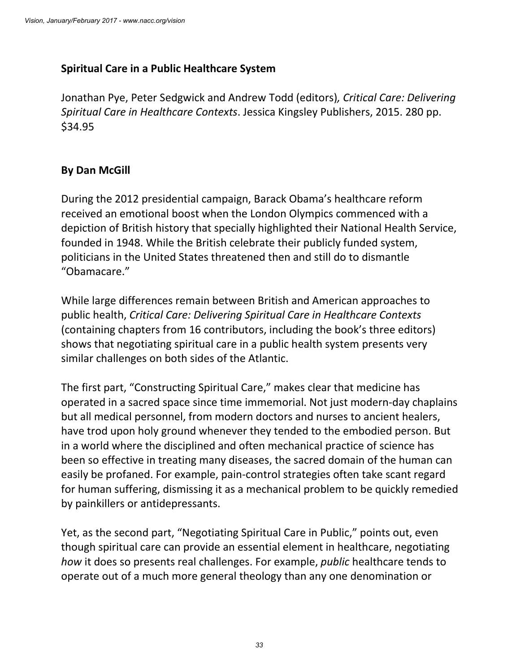# Spiritual Care in a Public Healthcare System

Jonathan Pye, Peter Sedgwick and Andrew Todd (editors), Critical Care: Delivering Spiritual Care in Healthcare Contexts. Jessica Kingsley Publishers, 2015. 280 pp. \$34.95

# By Dan McGill

During the 2012 presidential campaign, Barack Obama's healthcare reform received an emotional boost when the London Olympics commenced with a depiction of British history that specially highlighted their National Health Service, founded in 1948. While the British celebrate their publicly funded system, politicians in the United States threatened then and still do to dismantle "Obamacare."

While large differences remain between British and American approaches to public health, Critical Care: Delivering Spiritual Care in Healthcare Contexts (containing chapters from 16 contributors, including the book's three editors) shows that negotiating spiritual care in a public health system presents very similar challenges on both sides of the Atlantic.

The first part, "Constructing Spiritual Care," makes clear that medicine has operated in a sacred space since time immemorial. Not just modern-day chaplains but all medical personnel, from modern doctors and nurses to ancient healers, have trod upon holy ground whenever they tended to the embodied person. But in a world where the disciplined and often mechanical practice of science has been so effective in treating many diseases, the sacred domain of the human can easily be profaned. For example, pain-control strategies often take scant regard for human suffering, dismissing it as a mechanical problem to be quickly remedied by painkillers or antidepressants.

Yet, as the second part, "Negotiating Spiritual Care in Public," points out, even though spiritual care can provide an essential element in healthcare, negotiating how it does so presents real challenges. For example, public healthcare tends to operate out of a much more general theology than any one denomination or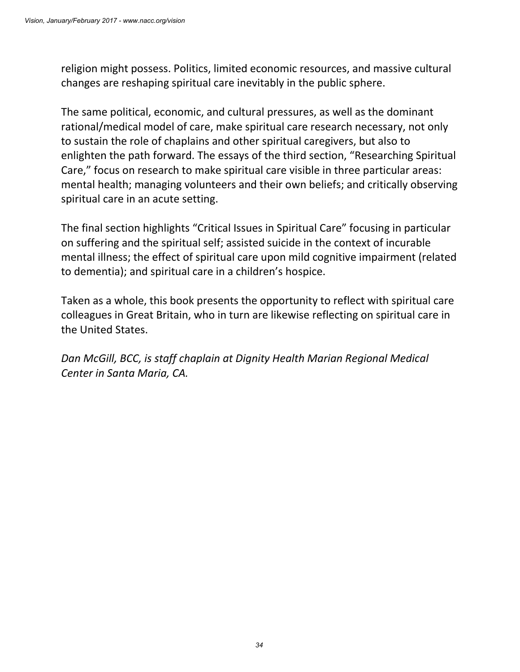religion might possess. Politics, limited economic resources, and massive cultural changes are reshaping spiritual care inevitably in the public sphere.

The same political, economic, and cultural pressures, as well as the dominant rational/medical model of care, make spiritual care research necessary, not only to sustain the role of chaplains and other spiritual caregivers, but also to enlighten the path forward. The essays of the third section, "Researching Spiritual Care," focus on research to make spiritual care visible in three particular areas: mental health; managing volunteers and their own beliefs; and critically observing spiritual care in an acute setting.

The final section highlights "Critical Issues in Spiritual Care" focusing in particular on suffering and the spiritual self; assisted suicide in the context of incurable mental illness; the effect of spiritual care upon mild cognitive impairment (related to dementia); and spiritual care in a children's hospice.

Taken as a whole, this book presents the opportunity to reflect with spiritual care colleagues in Great Britain, who in turn are likewise reflecting on spiritual care in the United States.

Dan McGill, BCC, is staff chaplain at Dignity Health Marian Regional Medical Center in Santa Maria, CA.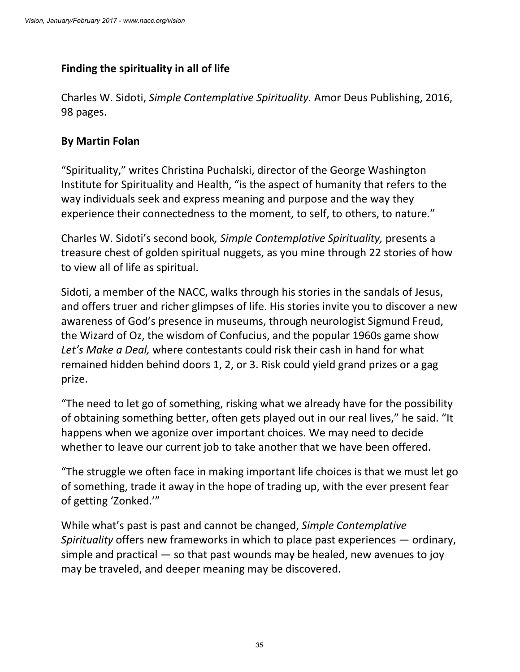# Finding the spirituality in all of life

Charles W. Sidoti, Simple Contemplative Spirituality. Amor Deus Publishing, 2016, 98 pages.

# By Martin Folan

"Spirituality," writes Christina Puchalski, director of the George Washington Institute for Spirituality and Health, "is the aspect of humanity that refers to the way individuals seek and express meaning and purpose and the way they experience their connectedness to the moment, to self, to others, to nature."

Charles W. Sidoti's second book, Simple Contemplative Spirituality, presents a treasure chest of golden spiritual nuggets, as you mine through 22 stories of how to view all of life as spiritual.

Sidoti, a member of the NACC, walks through his stories in the sandals of Jesus, and offers truer and richer glimpses of life. His stories invite you to discover a new awareness of God's presence in museums, through neurologist Sigmund Freud, the Wizard of Oz, the wisdom of Confucius, and the popular 1960s game show Let's Make a Deal, where contestants could risk their cash in hand for what remained hidden behind doors 1, 2, or 3. Risk could yield grand prizes or a gag prize.

"The need to let go of something, risking what we already have for the possibility of obtaining something better, often gets played out in our real lives," he said. "It happens when we agonize over important choices. We may need to decide whether to leave our current job to take another that we have been offered.

"The struggle we often face in making important life choices is that we must let go of something, trade it away in the hope of trading up, with the ever present fear of getting 'Zonked.'"

While what's past is past and cannot be changed, Simple Contemplative Spirituality offers new frameworks in which to place past experiences – ordinary, simple and practical  $-$  so that past wounds may be healed, new avenues to joy may be traveled, and deeper meaning may be discovered.